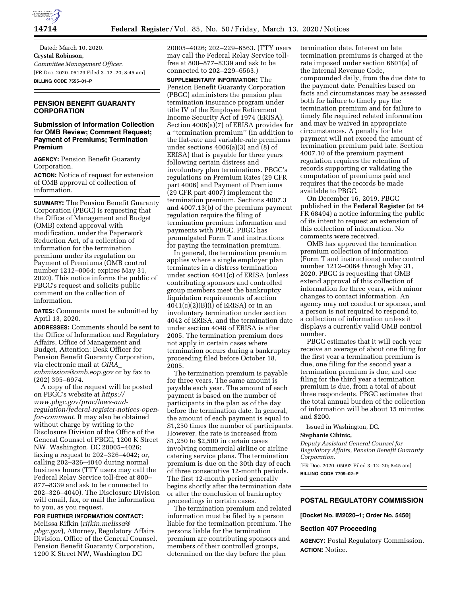

Dated: March 10, 2020. **Crystal Robinson,**  *Committee Management Officer.*  [FR Doc. 2020–05129 Filed 3–12–20; 8:45 am] **BILLING CODE 7555–01–P** 

## **PENSION BENEFIT GUARANTY CORPORATION**

## **Submission of Information Collection for OMB Review; Comment Request; Payment of Premiums; Termination Premium**

**AGENCY:** Pension Benefit Guaranty Corporation.

**ACTION:** Notice of request for extension of OMB approval of collection of information.

**SUMMARY:** The Pension Benefit Guaranty Corporation (PBGC) is requesting that the Office of Management and Budget (OMB) extend approval with modification, under the Paperwork Reduction Act, of a collection of information for the termination premium under its regulation on Payment of Premiums (OMB control number 1212–0064; expires May 31, 2020). This notice informs the public of PBGC's request and solicits public comment on the collection of information.

**DATES:** Comments must be submitted by April 13, 2020.

**ADDRESSES:** Comments should be sent to the Office of Information and Regulatory Affairs, Office of Management and Budget, Attention: Desk Officer for Pension Benefit Guaranty Corporation, via electronic mail at *[OIRA](mailto:OIRA_submission@omb.eop.gov)*\_ *[submission@omb.eop.gov](mailto:OIRA_submission@omb.eop.gov)* or by fax to (202) 395–6974.

A copy of the request will be posted on PBGC's website at *[https://](https://www.pbgc.gov/prac/laws-and-regulation/federal-register-notices-open-for-comment) [www.pbgc.gov/prac/laws-and](https://www.pbgc.gov/prac/laws-and-regulation/federal-register-notices-open-for-comment)[regulation/federal-register-notices-open](https://www.pbgc.gov/prac/laws-and-regulation/federal-register-notices-open-for-comment)[for-comment.](https://www.pbgc.gov/prac/laws-and-regulation/federal-register-notices-open-for-comment)* It may also be obtained without charge by writing to the Disclosure Division of the Office of the General Counsel of PBGC, 1200 K Street NW, Washington, DC 20005–4026; faxing a request to 202–326–4042; or, calling 202–326–4040 during normal business hours (TTY users may call the Federal Relay Service toll-free at 800– 877–8339 and ask to be connected to 202–326–4040). The Disclosure Division will email, fax, or mail the information to you, as you request.

# **FOR FURTHER INFORMATION CONTACT:**

Melissa Rifkin (*[rifkin.melissa@](mailto:rifkin.melissa@pbgc.gov) [pbgc.gov](mailto:rifkin.melissa@pbgc.gov)*), Attorney, Regulatory Affairs Division, Office of the General Counsel, Pension Benefit Guaranty Corporation, 1200 K Street NW, Washington DC

20005–4026; 202–229–6563. (TTY users may call the Federal Relay Service tollfree at 800–877–8339 and ask to be connected to 202–229–6563.)

**SUPPLEMENTARY INFORMATION:** The Pension Benefit Guaranty Corporation (PBGC) administers the pension plan termination insurance program under title IV of the Employee Retirement Income Security Act of 1974 (ERISA). Section 4006(a)(7) of ERISA provides for a ''termination premium'' (in addition to the flat-rate and variable-rate premiums under sections 4006(a)(3) and (8) of ERISA) that is payable for three years following certain distress and involuntary plan terminations. PBGC's regulations on Premium Rates (29 CFR part 4006) and Payment of Premiums (29 CFR part 4007) implement the termination premium. Sections 4007.3 and 4007.13(b) of the premium payment regulation require the filing of termination premium information and payments with PBGC. PBGC has promulgated Form T and instructions for paying the termination premium.

In general, the termination premium applies where a single employer plan terminates in a distress termination under section 4041(c) of ERISA (unless contributing sponsors and controlled group members meet the bankruptcy liquidation requirements of section  $4041(c)(2)(B)(i)$  of ERISA) or in an involuntary termination under section 4042 of ERISA, and the termination date under section 4048 of ERISA is after 2005. The termination premium does not apply in certain cases where termination occurs during a bankruptcy proceeding filed before October 18, 2005.

The termination premium is payable for three years. The same amount is payable each year. The amount of each payment is based on the number of participants in the plan as of the day before the termination date. In general, the amount of each payment is equal to \$1,250 times the number of participants. However, the rate is increased from \$1,250 to \$2,500 in certain cases involving commercial airline or airline catering service plans. The termination premium is due on the 30th day of each of three consecutive 12-month periods. The first 12-month period generally begins shortly after the termination date or after the conclusion of bankruptcy proceedings in certain cases.

The termination premium and related information must be filed by a person liable for the termination premium. The persons liable for the termination premium are contributing sponsors and members of their controlled groups, determined on the day before the plan

termination date. Interest on late termination premiums is charged at the rate imposed under section 6601(a) of the Internal Revenue Code, compounded daily, from the due date to the payment date. Penalties based on facts and circumstances may be assessed both for failure to timely pay the termination premium and for failure to timely file required related information and may be waived in appropriate circumstances. A penalty for late payment will not exceed the amount of termination premium paid late. Section 4007.10 of the premium payment regulation requires the retention of records supporting or validating the computation of premiums paid and requires that the records be made available to PBGC.

On December 16, 2019, PBGC published in the **Federal Register** (at 84 FR 68494) a notice informing the public of its intent to request an extension of this collection of information. No comments were received.

OMB has approved the termination premium collection of information (Form T and instructions) under control number 1212–0064 through May 31, 2020. PBGC is requesting that OMB extend approval of this collection of information for three years, with minor changes to contact information. An agency may not conduct or sponsor, and a person is not required to respond to, a collection of information unless it displays a currently valid OMB control number.

PBGC estimates that it will each year receive an average of about one filing for the first year a termination premium is due, one filing for the second year a termination premium is due, and one filing for the third year a termination premium is due, from a total of about three respondents. PBGC estimates that the total annual burden of the collection of information will be about 15 minutes and \$200.

Issued in Washington, DC.

#### **Stephanie Cibinic,**

*Deputy Assistant General Counsel for Regulatory Affairs, Pension Benefit Guaranty Corporation.* 

[FR Doc. 2020–05092 Filed 3–12–20; 8:45 am] **BILLING CODE 7709–02–P** 

# **POSTAL REGULATORY COMMISSION**

**[Docket No. IM2020–1; Order No. 5450]** 

### **Section 407 Proceeding**

**AGENCY:** Postal Regulatory Commission. **ACTION:** Notice.